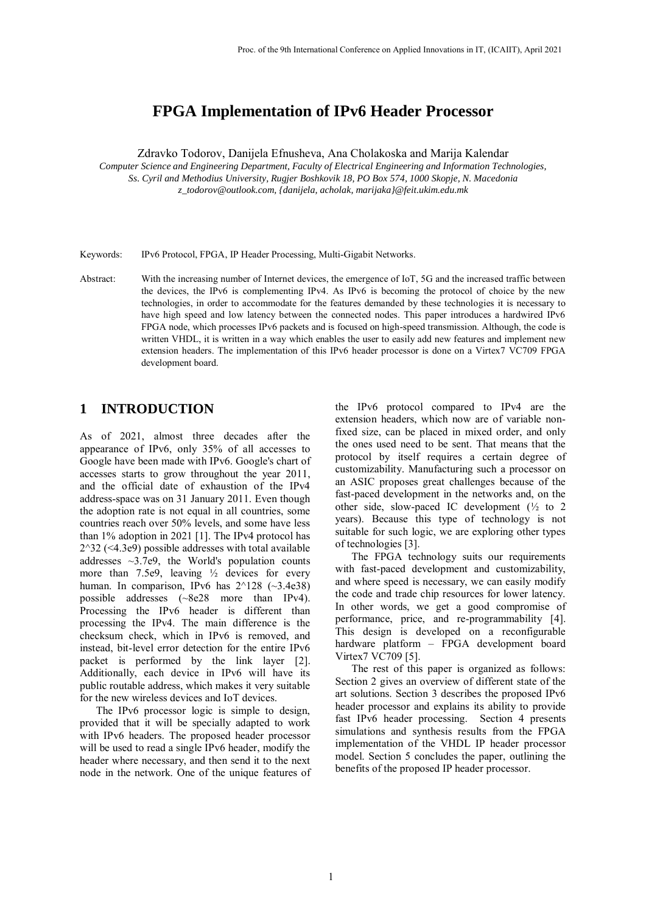# **FPGA Implementation of IPv6 Header Processor**

Zdravko Todorov, Danijela Efnusheva, Ana Cholakoska and Marija Kalendar

*Computer Science and Engineering Department, Faculty of Electrical Engineering and Information Technologies, Ss. Cyril and Methodius University, Rugjer Boshkovik 18, PO Box 574, 1000 Skopje, N. Macedonia z\_todorov@outlook.com, {danijela, acholak, marijaka}@feit.ukim.edu.mk*

Keywords: IPv6 Protocol, FPGA, IP Header Processing, Multi-Gigabit Networks.

Abstract: With the increasing number of Internet devices, the emergence of IoT, 5G and the increased traffic between the devices, the IPv6 is complementing IPv4. As IPv6 is becoming the protocol of choice by the new technologies, in order to accommodate for the features demanded by these technologies it is necessary to have high speed and low latency between the connected nodes. This paper introduces a hardwired IPv6 FPGA node, which processes IPv6 packets and is focused on high-speed transmission. Although, the code is written VHDL, it is written in a way which enables the user to easily add new features and implement new extension headers. The implementation of this IPv6 header processor is done on a Virtex7 VC709 FPGA development board.

#### **1 INTRODUCTION**

As of 2021, almost three decades after the appearance of IPv6, only 35% of all accesses to Google have been made with IPv6. Google's chart of accesses starts to grow throughout the year 2011, and the official date of exhaustion of the IPv4 address-space was on 31 January 2011. Even though the adoption rate is not equal in all countries, some countries reach over 50% levels, and some have less than 1% adoption in 2021 [1]. The IPv4 protocol has 2^32 (<4.3e9) possible addresses with total available addresses ~3.7e9, the World's population counts more than 7.5e9, leaving  $\frac{1}{2}$  devices for every human. In comparison, IPv6 has  $2^{\wedge}128$  (~3.4e38) possible addresses (~8e28 more than IPv4). Processing the IPv6 header is different than processing the IPv4. The main difference is the checksum check, which in IPv6 is removed, and instead, bit-level error detection for the entire IPv6 packet is performed by the link layer [2]. Additionally, each device in IPv6 will have its public routable address, which makes it very suitable for the new wireless devices and IoT devices.

The IPv6 processor logic is simple to design, provided that it will be specially adapted to work with IPv6 headers. The proposed header processor will be used to read a single IPv6 header, modify the header where necessary, and then send it to the next node in the network. One of the unique features of

the IPv6 protocol compared to IPv4 are the extension headers, which now are of variable nonfixed size, can be placed in mixed order, and only the ones used need to be sent. That means that the protocol by itself requires a certain degree of customizability. Manufacturing such a processor on an ASIC proposes great challenges because of the fast-paced development in the networks and, on the other side, slow-paced IC development (½ to 2 years). Because this type of technology is not suitable for such logic, we are exploring other types of technologies [3].

The FPGA technology suits our requirements with fast-paced development and customizability, and where speed is necessary, we can easily modify the code and trade chip resources for lower latency. In other words, we get a good compromise of performance, price, and re-programmability [4]. This design is developed on a reconfigurable hardware platform – FPGA development board Virtex7 VC709 [5].

The rest of this paper is organized as follows: Section 2 gives an overview of different state of the art solutions. Section 3 describes the proposed IPv6 header processor and explains its ability to provide fast IPv6 header processing. Section 4 presents simulations and synthesis results from the FPGA implementation of the VHDL IP header processor model. Section 5 concludes the paper, outlining the benefits of the proposed IP header processor.

1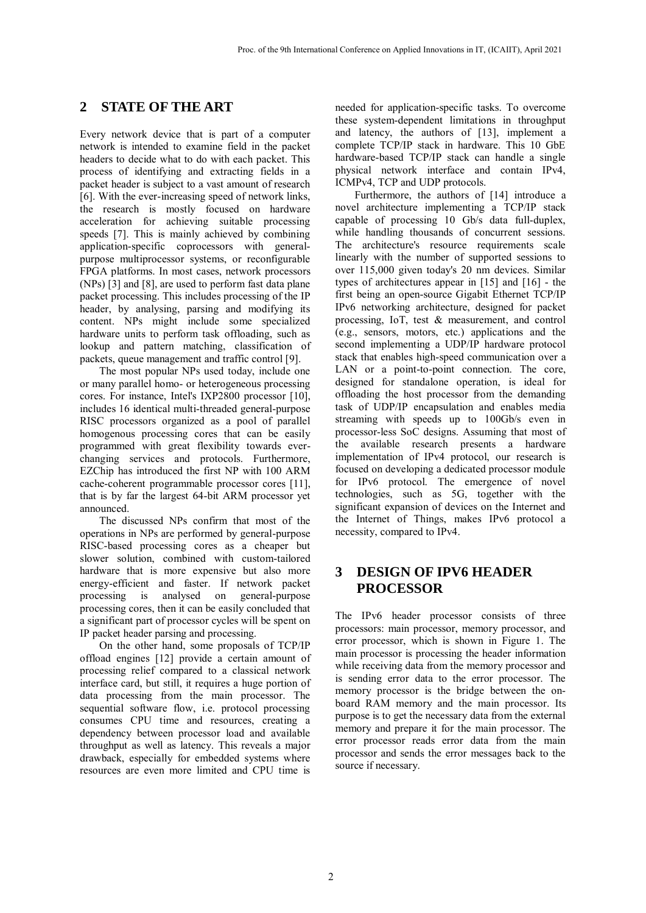## **2 STATE OF THE ART**

Every network device that is part of a computer network is intended to examine field in the packet headers to decide what to do with each packet. This process of identifying and extracting fields in a packet header is subject to a vast amount of research [6]. With the ever-increasing speed of network links, the research is mostly focused on hardware acceleration for achieving suitable processing speeds [7]. This is mainly achieved by combining application-specific coprocessors with generalpurpose multiprocessor systems, or reconfigurable FPGA platforms. In most cases, network processors (NPs) [3] and [8], are used to perform fast data plane packet processing. This includes processing of the IP header, by analysing, parsing and modifying its content. NPs might include some specialized hardware units to perform task offloading, such as lookup and pattern matching, classification of packets, queue management and traffic control [9].

The most popular NPs used today, include one or many parallel homo- or heterogeneous processing cores. For instance, Intel's IXP2800 processor [10], includes 16 identical multi-threaded general-purpose RISC processors organized as a pool of parallel homogenous processing cores that can be easily programmed with great flexibility towards everchanging services and protocols. Furthermore, EZChip has introduced the first NP with 100 ARM cache-coherent programmable processor cores [11], that is by far the largest 64-bit ARM processor yet announced.

The discussed NPs confirm that most of the operations in NPs are performed by general-purpose RISC-based processing cores as a cheaper but slower solution, combined with custom-tailored hardware that is more expensive but also more energy-efficient and faster. If network packet processing is analysed on general-purpose processing cores, then it can be easily concluded that a significant part of processor cycles will be spent on IP packet header parsing and processing.

On the other hand, some proposals of TCP/IP offload engines [12] provide a certain amount of processing relief compared to a classical network interface card, but still, it requires a huge portion of data processing from the main processor. The sequential software flow, i.e. protocol processing consumes CPU time and resources, creating a dependency between processor load and available throughput as well as latency. This reveals a major drawback, especially for embedded systems where resources are even more limited and CPU time is

needed for application-specific tasks. To overcome these system-dependent limitations in throughput and latency, the authors of [13], implement a complete TCP/IP stack in hardware. This 10 GbE hardware-based TCP/IP stack can handle a single physical network interface and contain IPv4, ICMPv4, TCP and UDP protocols.

Furthermore, the authors of [14] introduce a novel architecture implementing a TCP/IP stack capable of processing 10 Gb/s data full-duplex, while handling thousands of concurrent sessions. The architecture's resource requirements scale linearly with the number of supported sessions to over 115,000 given today's 20 nm devices. Similar types of architectures appear in [15] and [16] - the first being an open-source Gigabit Ethernet TCP/IP IPv6 networking architecture, designed for packet processing, IoT, test & measurement, and control (e.g., sensors, motors, etc.) applications and the second implementing a UDP/IP hardware protocol stack that enables high-speed communication over a LAN or a point-to-point connection. The core, designed for standalone operation, is ideal for offloading the host processor from the demanding task of UDP/IP encapsulation and enables media streaming with speeds up to 100Gb/s even in processor-less SoC designs. Assuming that most of the available research presents a hardware implementation of IPv4 protocol, our research is focused on developing a dedicated processor module for IPv6 protocol. The emergence of novel technologies, such as 5G, together with the significant expansion of devices on the Internet and the Internet of Things, makes IPv6 protocol a necessity, compared to IPv4.

### **3 DESIGN OF IPV6 HEADER PROCESSOR**

The IPv6 header processor consists of three processors: main processor, memory processor, and error processor, which is shown in Figure 1. The main processor is processing the header information while receiving data from the memory processor and is sending error data to the error processor. The memory processor is the bridge between the onboard RAM memory and the main processor. Its purpose is to get the necessary data from the external memory and prepare it for the main processor. The error processor reads error data from the main processor and sends the error messages back to the source if necessary.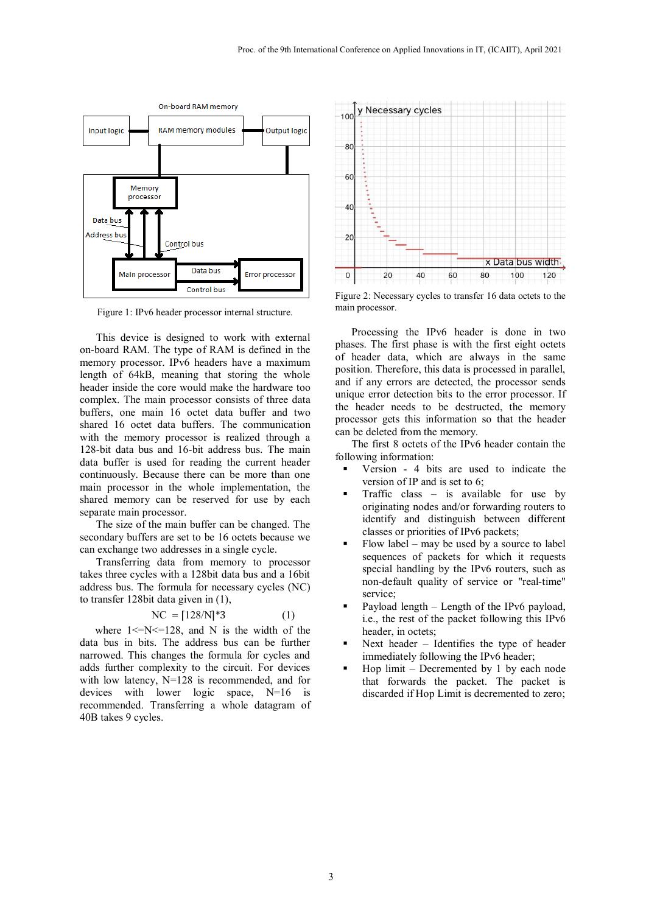

Figure 1: IPv6 header processor internal structure.

This device is designed to work with external on-board RAM. The type of RAM is defined in the memory processor. IPv6 headers have a maximum length of 64kB, meaning that storing the whole header inside the core would make the hardware too complex. The main processor consists of three data buffers, one main 16 octet data buffer and two shared 16 octet data buffers. The communication with the memory processor is realized through a 128-bit data bus and 16-bit address bus. The main data buffer is used for reading the current header continuously. Because there can be more than one main processor in the whole implementation, the shared memory can be reserved for use by each separate main processor.

The size of the main buffer can be changed. The secondary buffers are set to be 16 octets because we can exchange two addresses in a single cycle.

Transferring data from memory to processor takes three cycles with a 128bit data bus and a 16bit address bus. The formula for necessary cycles (NC) to transfer 128bit data given in (1),

$$
NC = [128/N]^*3 \tag{1}
$$

where  $1 \le N \le 128$ , and N is the width of the data bus in bits. The address bus can be further narrowed. This changes the formula for cycles and adds further complexity to the circuit. For devices with low latency, N=128 is recommended, and for devices with lower logic space, N=16 is recommended. Transferring a whole datagram of 40B takes 9 cycles.



Figure 2: Necessary cycles to transfer 16 data octets to the main processor.

Processing the IPv6 header is done in two phases. The first phase is with the first eight octets of header data, which are always in the same position. Therefore, this data is processed in parallel, and if any errors are detected, the processor sends unique error detection bits to the error processor. If the header needs to be destructed, the memory processor gets this information so that the header can be deleted from the memory.

The first 8 octets of the IPv6 header contain the following information:

- Version 4 bits are used to indicate the version of IP and is set to 6;
- Traffic class is available for use by originating nodes and/or forwarding routers to identify and distinguish between different classes or priorities of IPv6 packets;
- Flow label may be used by a source to label sequences of packets for which it requests special handling by the IPv6 routers, such as non-default quality of service or "real-time" service;
- Payload length Length of the IPv6 payload, i.e., the rest of the packet following this IPv6 header, in octets;
- Next header Identifies the type of header immediately following the IPv6 header;
- Hop limit Decremented by 1 by each node that forwards the packet. The packet is discarded if Hop Limit is decremented to zero;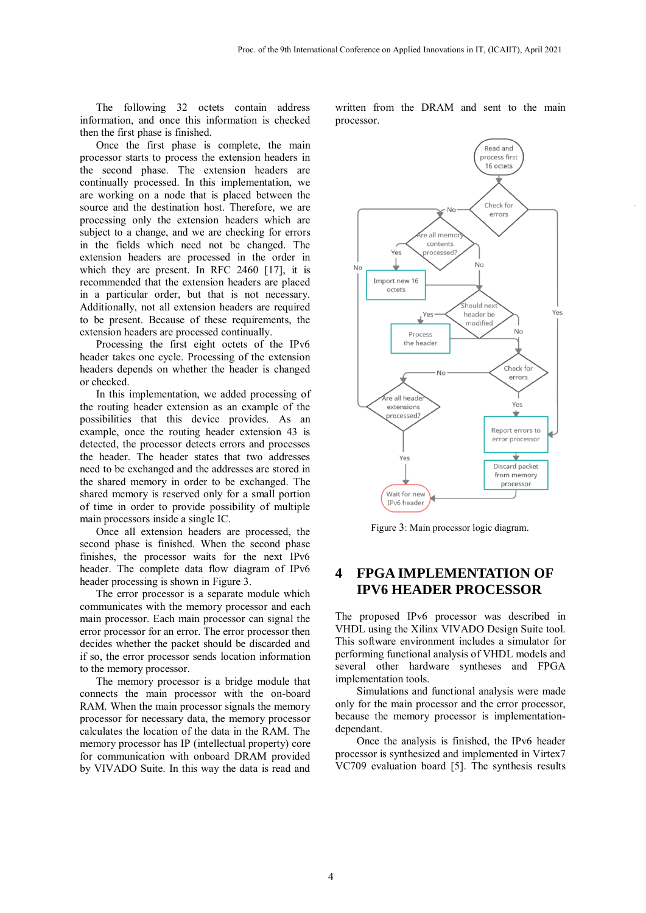The following 32 octets contain address information, and once this information is checked then the first phase is finished.

Once the first phase is complete, the main processor starts to process the extension headers in the second phase. The extension headers are continually processed. In this implementation, we are working on a node that is placed between the source and the destination host. Therefore, we are processing only the extension headers which are subject to a change, and we are checking for errors in the fields which need not be changed. The extension headers are processed in the order in which they are present. In RFC 2460 [17], it is recommended that the extension headers are placed in a particular order, but that is not necessary. Additionally, not all extension headers are required to be present. Because of these requirements, the extension headers are processed continually.

Processing the first eight octets of the IPv6 header takes one cycle. Processing of the extension headers depends on whether the header is changed or checked.

In this implementation, we added processing of the routing header extension as an example of the possibilities that this device provides. As an example, once the routing header extension 43 is detected, the processor detects errors and processes the header. The header states that two addresses need to be exchanged and the addresses are stored in the shared memory in order to be exchanged. The shared memory is reserved only for a small portion of time in order to provide possibility of multiple main processors inside a single IC.

Once all extension headers are processed, the second phase is finished. When the second phase finishes, the processor waits for the next IPv6 header. The complete data flow diagram of IPv6 header processing is shown in Figure 3.

The error processor is a separate module which communicates with the memory processor and each main processor. Each main processor can signal the error processor for an error. The error processor then decides whether the packet should be discarded and if so, the error processor sends location information to the memory processor.

The memory processor is a bridge module that connects the main processor with the on-board RAM. When the main processor signals the memory processor for necessary data, the memory processor calculates the location of the data in the RAM. The memory processor has IP (intellectual property) core for communication with onboard DRAM provided by VIVADO Suite. In this way the data is read and

written from the DRAM and sent to the main processor.



Figure 3: Main processor logic diagram.

### **4 FPGA IMPLEMENTATION OF IPV6 HEADER PROCESSOR**

The proposed IPv6 processor was described in VHDL using the Xilinx VIVADO Design Suite tool. This software environment includes a simulator for performing functional analysis of VHDL models and several other hardware syntheses and FPGA implementation tools.

Simulations and functional analysis were made only for the main processor and the error processor, because the memory processor is implementationdependant.

Once the analysis is finished, the IPv6 header processor is synthesized and implemented in Virtex7 VC709 evaluation board [5]. The synthesis results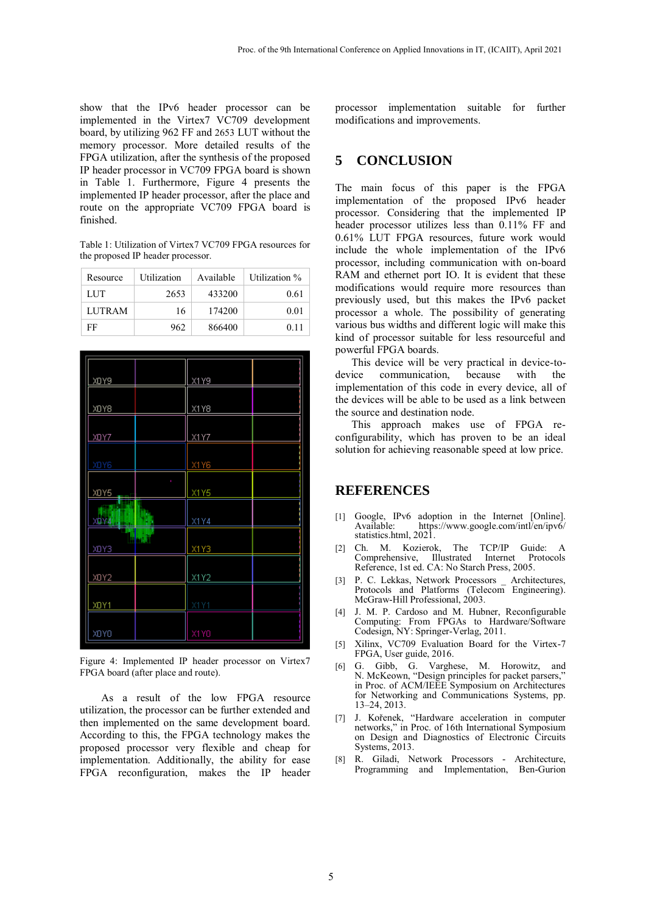show that the IPv6 header processor can be implemented in the Virtex7 VC709 development board, by utilizing 962 FF and 2653 LUT without the memory processor. More detailed results of the FPGA utilization, after the synthesis of the proposed IP header processor in VC709 FPGA board is shown in Table 1. Furthermore, Figure 4 presents the implemented IP header processor, after the place and route on the appropriate VC709 FPGA board is finished.

Table 1: Utilization of Virtex7 VC709 FPGA resources for the proposed IP header processor.

| Resource      | Utilization | Available | Utilization % |
|---------------|-------------|-----------|---------------|
| LUT           | 2653        | 433200    | 0.61          |
| <b>LUTRAM</b> | 16          | 174200    | 0.01          |
| FF            | 962         | 866400    | 0.11          |

| <u>XOY9</u> | X1Y9 |
|-------------|------|
|             |      |
| XOY8        | X1Y8 |
|             |      |
| <u>XOYZ</u> | X1Y7 |
|             |      |
| XDY6        | X1Y6 |
| t,          |      |
| <u>XOY5</u> | X1Y5 |
| Ť           |      |
| XOY414      | X1Y4 |
| <b>Hall</b> |      |
| XDY3        | X1Y3 |
|             |      |
| XDY2        | X1Y2 |
|             |      |
| XDY1        | X1Y1 |
|             |      |
| XOYO        | X1YO |
|             |      |

Figure 4: Implemented IP header processor on Virtex7 FPGA board (after place and route).

As a result of the low FPGA resource utilization, the processor can be further extended and then implemented on the same development board. According to this, the FPGA technology makes the proposed processor very flexible and cheap for implementation. Additionally, the ability for ease FPGA reconfiguration, makes the IP header

processor implementation suitable for further modifications and improvements.

### **5 CONCLUSION**

The main focus of this paper is the FPGA implementation of the proposed IPv6 header processor. Considering that the implemented IP header processor utilizes less than 0.11% FF and 0.61% LUT FPGA resources, future work would include the whole implementation of the IPv6 processor, including communication with on-board RAM and ethernet port IO. It is evident that these modifications would require more resources than previously used, but this makes the IPv6 packet processor a whole. The possibility of generating various bus widths and different logic will make this kind of processor suitable for less resourceful and powerful FPGA boards.

This device will be very practical in device-todevice communication, because with the implementation of this code in every device, all of the devices will be able to be used as a link between the source and destination node.

This approach makes use of FPGA reconfigurability, which has proven to be an ideal solution for achieving reasonable speed at low price.

#### **REFERENCES**

- [1] Google, IPv6 adoption in the Internet [Online]. https://www.google.com/intl/en/ipv6/ statistics.html, 2021.
- [2] Ch. M. Kozierok, The TCP/IP Guide: A Comprehensive, Illustrated Internet Protocols Reference, 1st ed. CA: No Starch Press, 2005.
- [3] P. C. Lekkas, Network Processors \_ Architectures, Protocols and Platforms (Telecom Engineering). McGraw-Hill Professional, 2003.
- [4] J. M. P. Cardoso and M. Hubner, Reconfigurable Computing: From FPGAs to Hardware/Software Codesign, NY: Springer-Verlag, 2011.
- [5] Xilinx, VC709 Evaluation Board for the Virtex-7 FPGA, User guide, 2016.
- [6] G. Gibb, G. Varghese, M. Horowitz, and N. McKeown, "Design principles for packet parsers," in Proc. of ACM/IEEE Symposium on Architectures for Networking and Communications Systems, pp. 13–24, 2013.
- [7] J. Kořenek, "Hardware acceleration in computer networks," in Proc. of 16th International Symposium on Design and Diagnostics of Electronic Circuits Systems, 2013.
- [8] R. Giladi, Network Processors Architecture, Programming and Implementation, Ben-Gurion